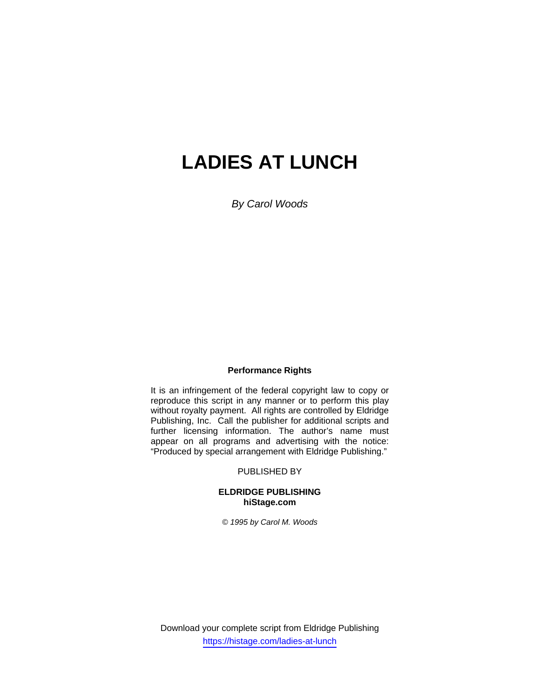# **LADIES AT LUNCH**

*By Carol Woods* 

#### **Performance Rights**

It is an infringement of the federal copyright law to copy or reproduce this script in any manner or to perform this play without royalty payment. All rights are controlled by Eldridge Publishing, Inc. Call the publisher for additional scripts and further licensing information. The author's name must appear on all programs and advertising with the notice: "Produced by special arrangement with Eldridge Publishing."

#### PUBLISHED BY

#### **ELDRIDGE PUBLISHING hiStage.com**

*© 1995 by Carol M. Woods* 

Download your complete script from Eldridge Publishing https://histage.com/ladies-at-lunch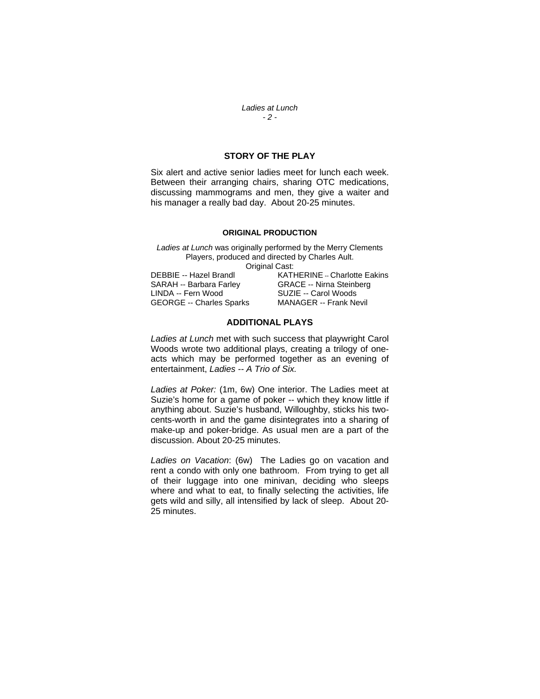*Ladies at Lunch - 2 -* 

### **STORY OF THE PLAY**

Six alert and active senior ladies meet for lunch each week. Between their arranging chairs, sharing OTC medications, discussing mammograms and men, they give a waiter and his manager a really bad day. About 20-25 minutes.

#### **ORIGINAL PRODUCTION**

*Ladies at Lunch* was originally performed by the Merry Clements Players, produced and directed by Charles Ault. Original Cast:

SARAH -- Barbara Farley GRACE -- Nirna Steinberg LINDA -- Fern Wood SUZIE -- Carol Woods<br>GEORGE -- Charles Sparks MANAGER -- Frank Nevil GEORGE -- Charles Sparks

DEBBIE -- Hazel Brandl KATHERINE -- Charlotte Eakins

#### **ADDITIONAL PLAYS**

*Ladies at Lunch* met with such success that playwright Carol Woods wrote two additional plays, creating a trilogy of oneacts which may be performed together as an evening of entertainment, *Ladies -- A Trio of Six.* 

*Ladies at Poker:* (1m, 6w) One interior. The Ladies meet at Suzie's home for a game of poker -- which they know little if anything about. Suzie's husband, Willoughby, sticks his twocents-worth in and the game disintegrates into a sharing of make-up and poker-bridge. As usual men are a part of the discussion. About 20-25 minutes.

*Ladies on Vacation*: (6w) The Ladies go on vacation and rent a condo with only one bathroom. From trying to get all of their luggage into one minivan, deciding who sleeps where and what to eat, to finally selecting the activities, life gets wild and silly, all intensified by lack of sleep. About 20- 25 minutes.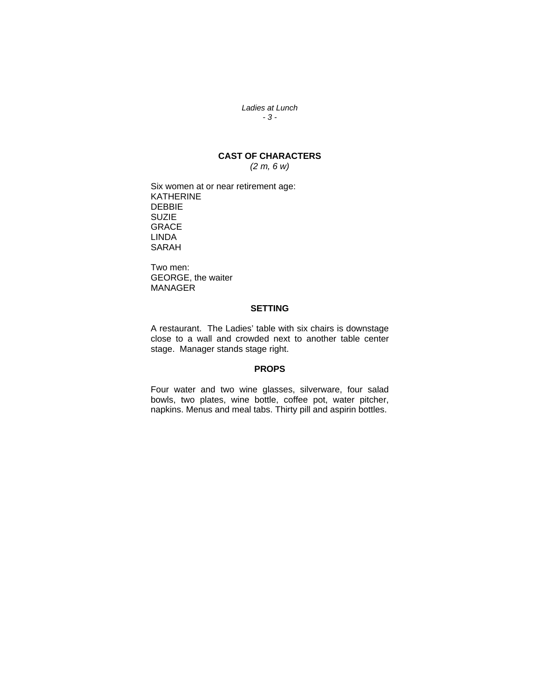*Ladies at Lunch - 3 -* 

# **CAST OF CHARACTERS**

*(2 m, 6 w)* 

Six women at or near retirement age: KATHERINE DEBBIE **SUZIE** GRACE LINDA SARAH

Two men: GEORGE, the waiter MANAGER

#### **SETTING**

A restaurant. The Ladies' table with six chairs is downstage close to a wall and crowded next to another table center stage. Manager stands stage right.

#### **PROPS**

Four water and two wine glasses, silverware, four salad bowls, two plates, wine bottle, coffee pot, water pitcher, napkins. Menus and meal tabs. Thirty pill and aspirin bottles.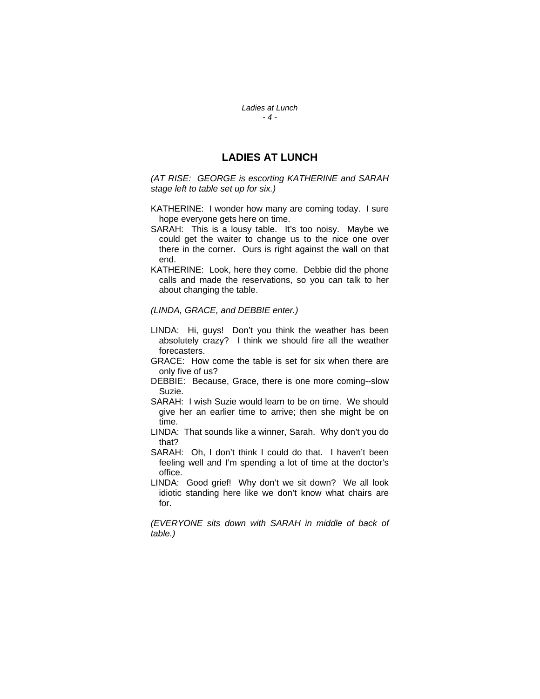*Ladies at Lunch - 4 -* 

## **LADIES AT LUNCH**

*(AT RISE: GEORGE is escorting KATHERINE and SARAH stage left to table set up for six.)* 

- KATHERINE: I wonder how many are coming today. I sure hope everyone gets here on time.
- SARAH: This is a lousy table. It's too noisy. Maybe we could get the waiter to change us to the nice one over there in the corner. Ours is right against the wall on that end.
- KATHERINE: Look, here they come. Debbie did the phone calls and made the reservations, so you can talk to her about changing the table.

#### *(LINDA, GRACE, and DEBBIE enter.)*

- LINDA: Hi, guys! Don't you think the weather has been absolutely crazy? I think we should fire all the weather forecasters.
- GRACE: How come the table is set for six when there are only five of us?
- DEBBIE: Because, Grace, there is one more coming--slow Suzie.
- SARAH: I wish Suzie would learn to be on time. We should give her an earlier time to arrive; then she might be on time.
- LINDA: That sounds like a winner, Sarah. Why don't you do that?
- SARAH: Oh, I don't think I could do that. I haven't been feeling well and I'm spending a lot of time at the doctor's office.
- LINDA: Good grief! Why don't we sit down? We all look idiotic standing here like we don't know what chairs are for.

*(EVERYONE sits down with SARAH in middle of back of table.)*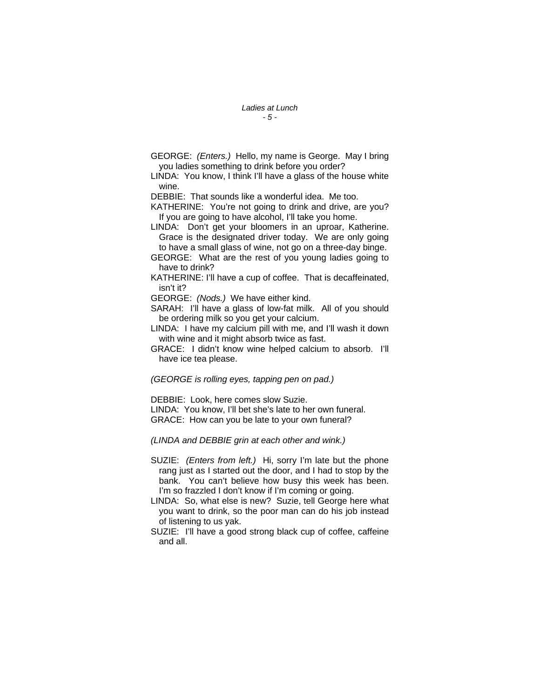- GEORGE: *(Enters.)* Hello, my name is George. May I bring you ladies something to drink before you order?
- LINDA: You know, I think I'll have a glass of the house white wine.

DEBBIE: That sounds like a wonderful idea. Me too.

KATHERINE: You're not going to drink and drive, are you? If you are going to have alcohol, I'll take you home.

- LINDA: Don't get your bloomers in an uproar, Katherine. Grace is the designated driver today. We are only going to have a small glass of wine, not go on a three-day binge.
- GEORGE: What are the rest of you young ladies going to have to drink?
- KATHERINE: I'll have a cup of coffee. That is decaffeinated, isn't it?

GEORGE: *(Nods.)* We have either kind.

- SARAH: I'll have a glass of low-fat milk. All of you should be ordering milk so you get your calcium.
- LINDA: I have my calcium pill with me, and I'll wash it down with wine and it might absorb twice as fast.
- GRACE: I didn't know wine helped calcium to absorb. I'll have ice tea please.

#### *(GEORGE is rolling eyes, tapping pen on pad.)*

DEBBIE: Look, here comes slow Suzie.

LINDA: You know, I'll bet she's late to her own funeral. GRACE: How can you be late to your own funeral?

*(LINDA and DEBBIE grin at each other and wink.)* 

- SUZIE: *(Enters from left.)* Hi, sorry I'm late but the phone rang just as I started out the door, and I had to stop by the bank. You can't believe how busy this week has been. I'm so frazzled I don't know if I'm coming or going.
- LINDA: So, what else is new? Suzie, tell George here what you want to drink, so the poor man can do his job instead of listening to us yak.
- SUZIE: I'll have a good strong black cup of coffee, caffeine and all.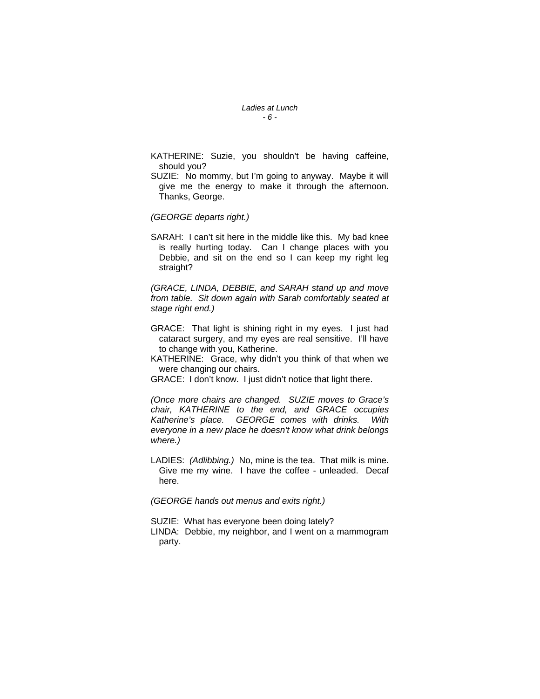#### *Ladies at Lunch - 6 -*

- KATHERINE: Suzie, you shouldn't be having caffeine, should you?
- SUZIE: No mommy, but I'm going to anyway. Maybe it will give me the energy to make it through the afternoon. Thanks, George.

*(GEORGE departs right.)*

SARAH: I can't sit here in the middle like this. My bad knee is really hurting today. Can I change places with you Debbie, and sit on the end so I can keep my right leg straight?

*(GRACE, LINDA, DEBBIE, and SARAH stand up and move from table. Sit down again with Sarah comfortably seated at stage right end.)*

- GRACE: That light is shining right in my eyes. I just had cataract surgery, and my eyes are real sensitive. I'll have to change with you, Katherine.
- KATHERINE: Grace, why didn't you think of that when we were changing our chairs.
- GRACE: I don't know. I just didn't notice that light there.

*(Once more chairs are changed. SUZIE moves to Grace's chair, KATHERINE to the end, and GRACE occupies Katherine's place. GEORGE comes with drinks. With everyone in a new place he doesn't know what drink belongs where.)*

LADIES: *(Adlibbing.)* No, mine is the tea. That milk is mine. Give me my wine. I have the coffee - unleaded. Decaf here.

*(GEORGE hands out menus and exits right.)*

SUZIE: What has everyone been doing lately? LINDA: Debbie, my neighbor, and I went on a mammogram party.